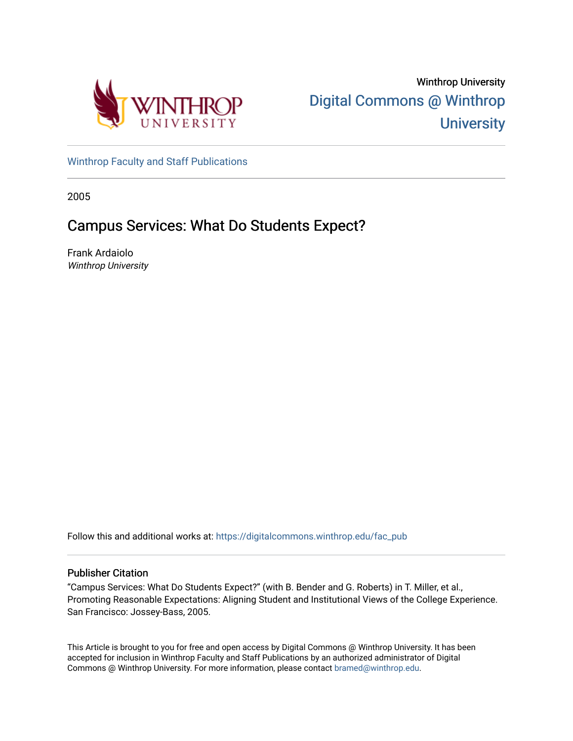

[Winthrop Faculty and Staff Publications](https://digitalcommons.winthrop.edu/fac_pub) 

2005

#### Campus Services: What Do Students Expect?

Frank Ardaiolo Winthrop University

Follow this and additional works at: [https://digitalcommons.winthrop.edu/fac\\_pub](https://digitalcommons.winthrop.edu/fac_pub?utm_source=digitalcommons.winthrop.edu%2Ffac_pub%2F85&utm_medium=PDF&utm_campaign=PDFCoverPages)

#### Publisher Citation

"Campus Services: What Do Students Expect?" (with B. Bender and G. Roberts) in T. Miller, et al., Promoting Reasonable Expectations: Aligning Student and Institutional Views of the College Experience. San Francisco: Jossey-Bass, 2005.

This Article is brought to you for free and open access by Digital Commons @ Winthrop University. It has been accepted for inclusion in Winthrop Faculty and Staff Publications by an authorized administrator of Digital Commons @ Winthrop University. For more information, please contact [bramed@winthrop.edu](mailto:bramed@winthrop.edu).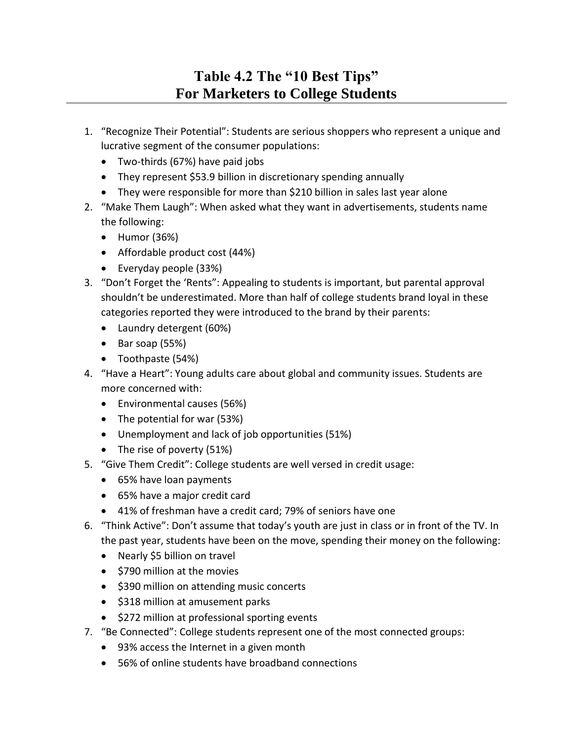#### **Table 4.2 The "10 Best Tips" For Marketers to College Students**

- 1. "Recognize Their Potential": Students are serious shoppers who represent a unique and lucrative segment of the consumer populations:
	- Two-thirds (67%) have paid jobs
	- They represent \$53.9 billion in discretionary spending annually
	- They were responsible for more than \$210 billion in sales last year alone
- 2. "Make Them Laugh": When asked what they want in advertisements, students name the following:
	- Humor (36%)
	- Affordable product cost (44%)
	- Everyday people (33%)
- 3. "Don't Forget the 'Rents": Appealing to students is important, but parental approval shouldn't be underestimated. More than half of college students brand loyal in these categories reported they were introduced to the brand by their parents:
	- Laundry detergent (60%)
	- Bar soap (55%)
	- Toothpaste (54%)
- 4. "Have a Heart": Young adults care about global and community issues. Students are more concerned with:
	- Environmental causes (56%)
	- The potential for war (53%)
	- Unemployment and lack of job opportunities (51%)
	- The rise of poverty (51%)
- 5. "Give Them Credit": College students are well versed in credit usage:
	- 65% have loan payments
	- 65% have a major credit card
	- 41% of freshman have a credit card; 79% of seniors have one
- 6. "Think Active": Don't assume that today's youth are just in class or in front of the TV. In the past year, students have been on the move, spending their money on the following:
	- Nearly \$5 billion on travel
	- \$790 million at the movies
	- \$390 million on attending music concerts
	- \$318 million at amusement parks
	- \$272 million at professional sporting events
- 7. "Be Connected": College students represent one of the most connected groups:
	- 93% access the Internet in a given month
	- 56% of online students have broadband connections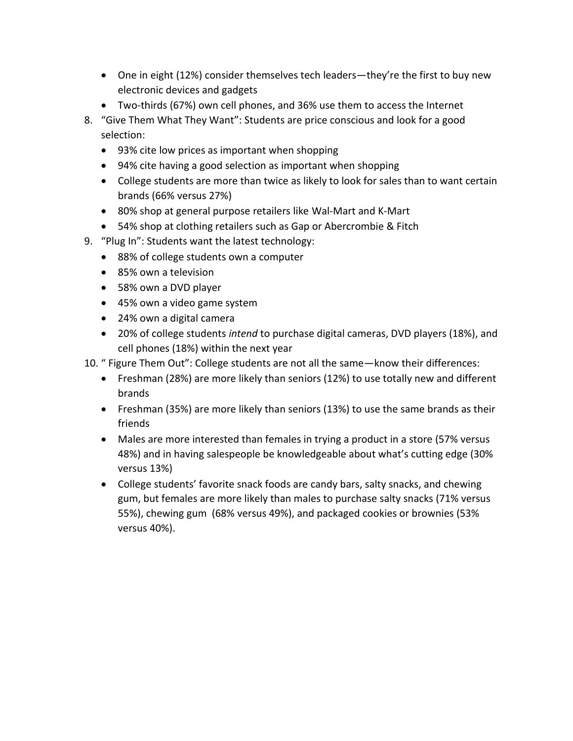- One in eight (12%) consider themselves tech leaders—they're the first to buy new electronic devices and gadgets
- Two-thirds (67%) own cell phones, and 36% use them to access the Internet
- 8. "Give Them What They Want": Students are price conscious and look for a good selection:
	- 93% cite low prices as important when shopping
	- 94% cite having a good selection as important when shopping
	- College students are more than twice as likely to look for sales than to want certain brands (66% versus 27%)
	- 80% shop at general purpose retailers like Wal-Mart and K-Mart
	- 54% shop at clothing retailers such as Gap or Abercrombie & Fitch
- 9. "Plug In": Students want the latest technology:
	- 88% of college students own a computer
	- 85% own a television
	- 58% own a DVD player
	- 45% own a video game system
	- 24% own a digital camera
	- 20% of college students *intend* to purchase digital cameras, DVD players (18%), and cell phones (18%) within the next year
- 10. " Figure Them Out": College students are not all the same—know their differences:
	- Freshman (28%) are more likely than seniors (12%) to use totally new and different brands
	- Freshman (35%) are more likely than seniors (13%) to use the same brands as their friends
	- Males are more interested than females in trying a product in a store (57% versus 48%) and in having salespeople be knowledgeable about what's cutting edge (30% versus 13%)
	- College students' favorite snack foods are candy bars, salty snacks, and chewing gum, but females are more likely than males to purchase salty snacks (71% versus 55%), chewing gum (68% versus 49%), and packaged cookies or brownies (53% versus 40%).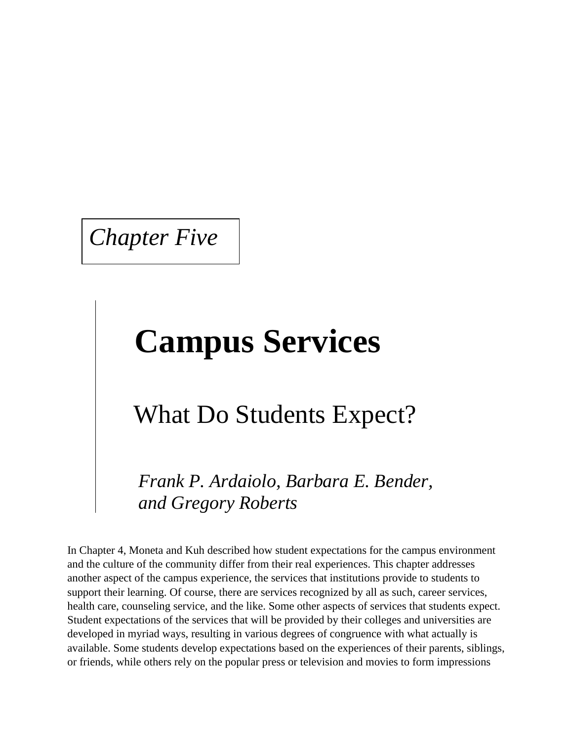# *Chapter Five*

# **Campus Services**

# What Do Students Expect?

 *Frank P. Ardaiolo, Barbara E. Bender, and Gregory Roberts*

In Chapter 4, Moneta and Kuh described how student expectations for the campus environment and the culture of the community differ from their real experiences. This chapter addresses another aspect of the campus experience, the services that institutions provide to students to support their learning. Of course, there are services recognized by all as such, career services, health care, counseling service, and the like. Some other aspects of services that students expect. Student expectations of the services that will be provided by their colleges and universities are developed in myriad ways, resulting in various degrees of congruence with what actually is available. Some students develop expectations based on the experiences of their parents, siblings, or friends, while others rely on the popular press or television and movies to form impressions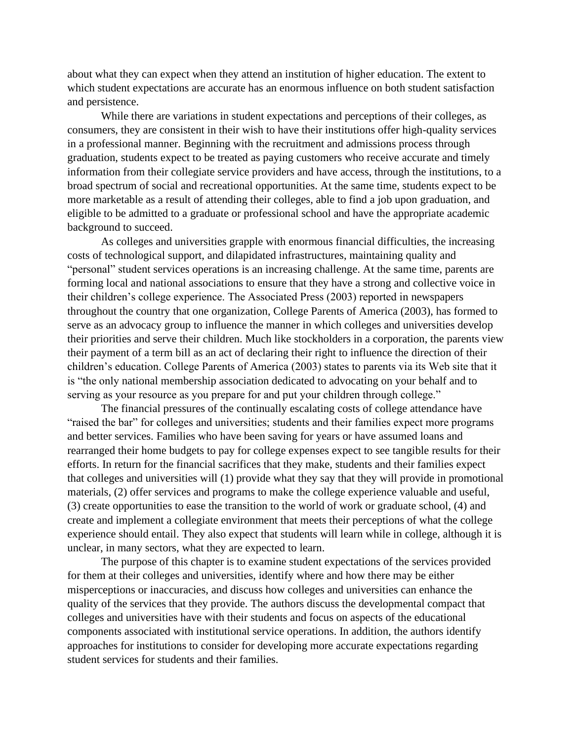about what they can expect when they attend an institution of higher education. The extent to which student expectations are accurate has an enormous influence on both student satisfaction and persistence.

While there are variations in student expectations and perceptions of their colleges, as consumers, they are consistent in their wish to have their institutions offer high-quality services in a professional manner. Beginning with the recruitment and admissions process through graduation, students expect to be treated as paying customers who receive accurate and timely information from their collegiate service providers and have access, through the institutions, to a broad spectrum of social and recreational opportunities. At the same time, students expect to be more marketable as a result of attending their colleges, able to find a job upon graduation, and eligible to be admitted to a graduate or professional school and have the appropriate academic background to succeed.

As colleges and universities grapple with enormous financial difficulties, the increasing costs of technological support, and dilapidated infrastructures, maintaining quality and "personal" student services operations is an increasing challenge. At the same time, parents are forming local and national associations to ensure that they have a strong and collective voice in their children's college experience. The Associated Press (2003) reported in newspapers throughout the country that one organization, College Parents of America (2003), has formed to serve as an advocacy group to influence the manner in which colleges and universities develop their priorities and serve their children. Much like stockholders in a corporation, the parents view their payment of a term bill as an act of declaring their right to influence the direction of their children's education. College Parents of America (2003) states to parents via its Web site that it is "the only national membership association dedicated to advocating on your behalf and to serving as your resource as you prepare for and put your children through college."

The financial pressures of the continually escalating costs of college attendance have "raised the bar" for colleges and universities; students and their families expect more programs and better services. Families who have been saving for years or have assumed loans and rearranged their home budgets to pay for college expenses expect to see tangible results for their efforts. In return for the financial sacrifices that they make, students and their families expect that colleges and universities will (1) provide what they say that they will provide in promotional materials, (2) offer services and programs to make the college experience valuable and useful, (3) create opportunities to ease the transition to the world of work or graduate school, (4) and create and implement a collegiate environment that meets their perceptions of what the college experience should entail. They also expect that students will learn while in college, although it is unclear, in many sectors, what they are expected to learn.

The purpose of this chapter is to examine student expectations of the services provided for them at their colleges and universities, identify where and how there may be either misperceptions or inaccuracies, and discuss how colleges and universities can enhance the quality of the services that they provide. The authors discuss the developmental compact that colleges and universities have with their students and focus on aspects of the educational components associated with institutional service operations. In addition, the authors identify approaches for institutions to consider for developing more accurate expectations regarding student services for students and their families.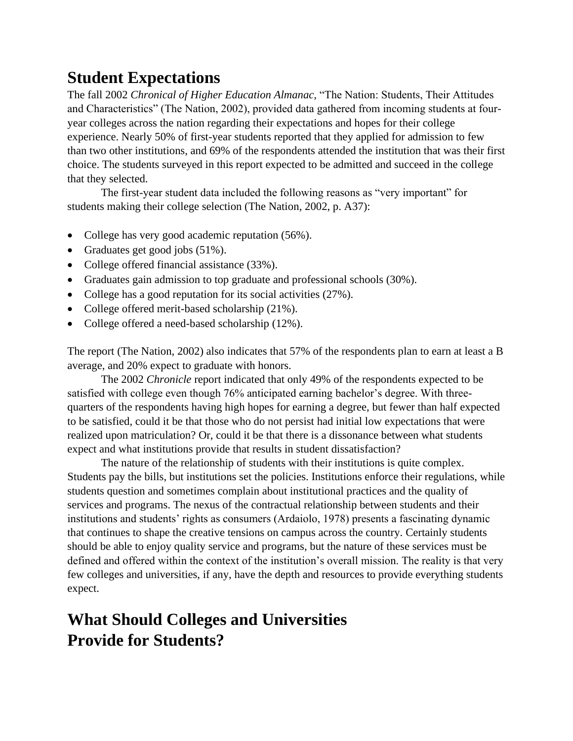# **Student Expectations**

The fall 2002 *Chronical of Higher Education Almanac,* "The Nation: Students, Their Attitudes and Characteristics" (The Nation, 2002), provided data gathered from incoming students at fouryear colleges across the nation regarding their expectations and hopes for their college experience. Nearly 50% of first-year students reported that they applied for admission to few than two other institutions, and 69% of the respondents attended the institution that was their first choice. The students surveyed in this report expected to be admitted and succeed in the college that they selected.

The first-year student data included the following reasons as "very important" for students making their college selection (The Nation, 2002, p. A37):

- College has very good academic reputation (56%).
- Graduates get good jobs (51%).
- College offered financial assistance (33%).
- Graduates gain admission to top graduate and professional schools (30%).
- College has a good reputation for its social activities (27%).
- College offered merit-based scholarship  $(21\%)$ .
- College offered a need-based scholarship (12%).

The report (The Nation, 2002) also indicates that 57% of the respondents plan to earn at least a B average, and 20% expect to graduate with honors.

The 2002 *Chronicle* report indicated that only 49% of the respondents expected to be satisfied with college even though 76% anticipated earning bachelor's degree. With threequarters of the respondents having high hopes for earning a degree, but fewer than half expected to be satisfied, could it be that those who do not persist had initial low expectations that were realized upon matriculation? Or, could it be that there is a dissonance between what students expect and what institutions provide that results in student dissatisfaction?

The nature of the relationship of students with their institutions is quite complex. Students pay the bills, but institutions set the policies. Institutions enforce their regulations, while students question and sometimes complain about institutional practices and the quality of services and programs. The nexus of the contractual relationship between students and their institutions and students' rights as consumers (Ardaiolo, 1978) presents a fascinating dynamic that continues to shape the creative tensions on campus across the country. Certainly students should be able to enjoy quality service and programs, but the nature of these services must be defined and offered within the context of the institution's overall mission. The reality is that very few colleges and universities, if any, have the depth and resources to provide everything students expect.

# **What Should Colleges and Universities Provide for Students?**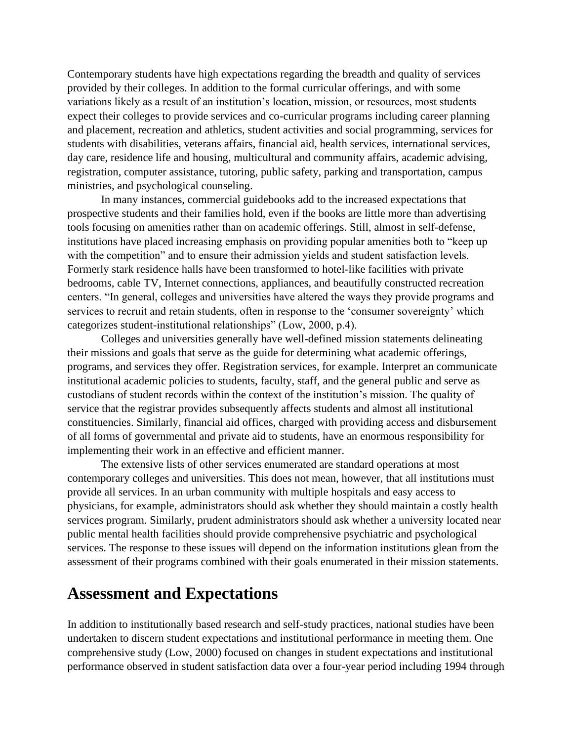Contemporary students have high expectations regarding the breadth and quality of services provided by their colleges. In addition to the formal curricular offerings, and with some variations likely as a result of an institution's location, mission, or resources, most students expect their colleges to provide services and co-curricular programs including career planning and placement, recreation and athletics, student activities and social programming, services for students with disabilities, veterans affairs, financial aid, health services, international services, day care, residence life and housing, multicultural and community affairs, academic advising, registration, computer assistance, tutoring, public safety, parking and transportation, campus ministries, and psychological counseling.

In many instances, commercial guidebooks add to the increased expectations that prospective students and their families hold, even if the books are little more than advertising tools focusing on amenities rather than on academic offerings. Still, almost in self-defense, institutions have placed increasing emphasis on providing popular amenities both to "keep up with the competition" and to ensure their admission yields and student satisfaction levels. Formerly stark residence halls have been transformed to hotel-like facilities with private bedrooms, cable TV, Internet connections, appliances, and beautifully constructed recreation centers. "In general, colleges and universities have altered the ways they provide programs and services to recruit and retain students, often in response to the 'consumer sovereignty' which categorizes student-institutional relationships" (Low, 2000, p.4).

Colleges and universities generally have well-defined mission statements delineating their missions and goals that serve as the guide for determining what academic offerings, programs, and services they offer. Registration services, for example. Interpret an communicate institutional academic policies to students, faculty, staff, and the general public and serve as custodians of student records within the context of the institution's mission. The quality of service that the registrar provides subsequently affects students and almost all institutional constituencies. Similarly, financial aid offices, charged with providing access and disbursement of all forms of governmental and private aid to students, have an enormous responsibility for implementing their work in an effective and efficient manner.

The extensive lists of other services enumerated are standard operations at most contemporary colleges and universities. This does not mean, however, that all institutions must provide all services. In an urban community with multiple hospitals and easy access to physicians, for example, administrators should ask whether they should maintain a costly health services program. Similarly, prudent administrators should ask whether a university located near public mental health facilities should provide comprehensive psychiatric and psychological services. The response to these issues will depend on the information institutions glean from the assessment of their programs combined with their goals enumerated in their mission statements.

#### **Assessment and Expectations**

In addition to institutionally based research and self-study practices, national studies have been undertaken to discern student expectations and institutional performance in meeting them. One comprehensive study (Low, 2000) focused on changes in student expectations and institutional performance observed in student satisfaction data over a four-year period including 1994 through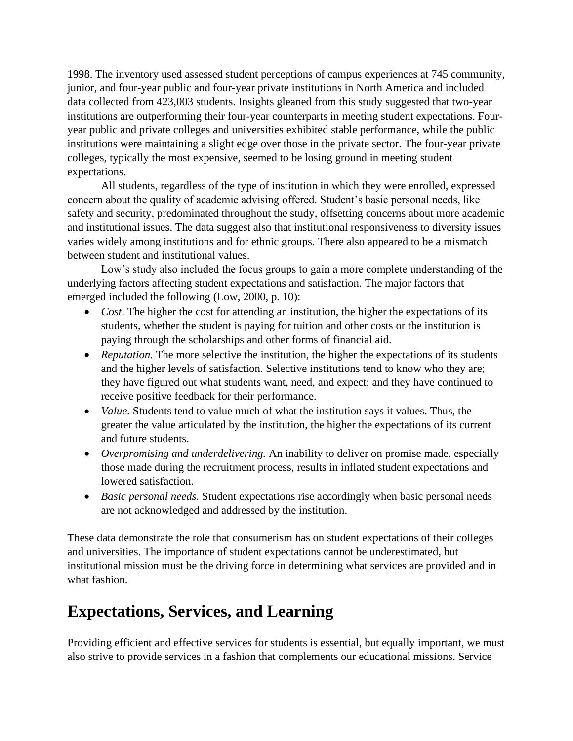1998. The inventory used assessed student perceptions of campus experiences at 745 community, junior, and four-year public and four-year private institutions in North America and included data collected from 423,003 students. Insights gleaned from this study suggested that two-year institutions are outperforming their four-year counterparts in meeting student expectations. Fouryear public and private colleges and universities exhibited stable performance, while the public institutions were maintaining a slight edge over those in the private sector. The four-year private colleges, typically the most expensive, seemed to be losing ground in meeting student expectations.

All students, regardless of the type of institution in which they were enrolled, expressed concern about the quality of academic advising offered. Student's basic personal needs, like safety and security, predominated throughout the study, offsetting concerns about more academic and institutional issues. The data suggest also that institutional responsiveness to diversity issues varies widely among institutions and for ethnic groups. There also appeared to be a mismatch between student and institutional values.

Low's study also included the focus groups to gain a more complete understanding of the underlying factors affecting student expectations and satisfaction. The major factors that emerged included the following (Low, 2000, p. 10):

- *Cost*. The higher the cost for attending an institution, the higher the expectations of its students, whether the student is paying for tuition and other costs or the institution is paying through the scholarships and other forms of financial aid.
- *Reputation.* The more selective the institution, the higher the expectations of its students and the higher levels of satisfaction. Selective institutions tend to know who they are; they have figured out what students want, need, and expect; and they have continued to receive positive feedback for their performance.
- *Value.* Students tend to value much of what the institution says it values. Thus, the greater the value articulated by the institution, the higher the expectations of its current and future students.
- *Overpromising and underdelivering.* An inability to deliver on promise made, especially those made during the recruitment process, results in inflated student expectations and lowered satisfaction.
- *Basic personal needs.* Student expectations rise accordingly when basic personal needs are not acknowledged and addressed by the institution.

These data demonstrate the role that consumerism has on student expectations of their colleges and universities. The importance of student expectations cannot be underestimated, but institutional mission must be the driving force in determining what services are provided and in what fashion.

# **Expectations, Services, and Learning**

Providing efficient and effective services for students is essential, but equally important, we must also strive to provide services in a fashion that complements our educational missions. Service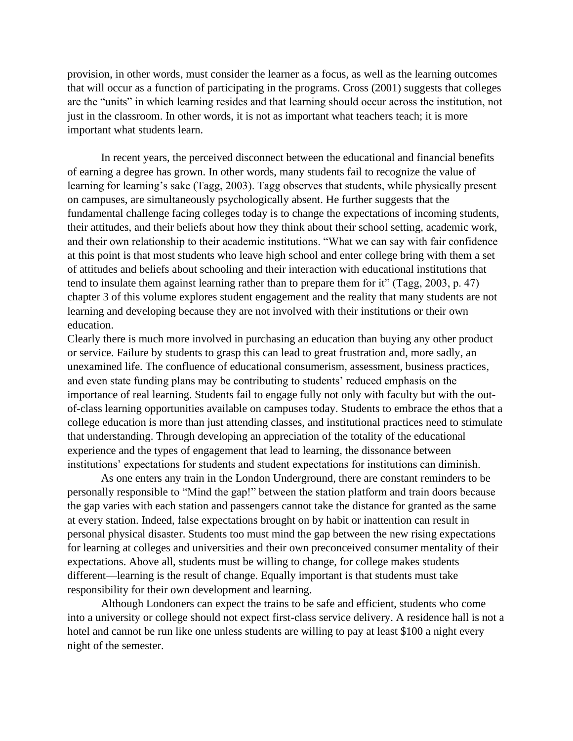provision, in other words, must consider the learner as a focus, as well as the learning outcomes that will occur as a function of participating in the programs. Cross (2001) suggests that colleges are the "units" in which learning resides and that learning should occur across the institution, not just in the classroom. In other words, it is not as important what teachers teach; it is more important what students learn.

In recent years, the perceived disconnect between the educational and financial benefits of earning a degree has grown. In other words, many students fail to recognize the value of learning for learning's sake (Tagg, 2003). Tagg observes that students, while physically present on campuses, are simultaneously psychologically absent. He further suggests that the fundamental challenge facing colleges today is to change the expectations of incoming students, their attitudes, and their beliefs about how they think about their school setting, academic work, and their own relationship to their academic institutions. "What we can say with fair confidence at this point is that most students who leave high school and enter college bring with them a set of attitudes and beliefs about schooling and their interaction with educational institutions that tend to insulate them against learning rather than to prepare them for it" (Tagg, 2003, p. 47) chapter 3 of this volume explores student engagement and the reality that many students are not learning and developing because they are not involved with their institutions or their own education.

Clearly there is much more involved in purchasing an education than buying any other product or service. Failure by students to grasp this can lead to great frustration and, more sadly, an unexamined life. The confluence of educational consumerism, assessment, business practices, and even state funding plans may be contributing to students' reduced emphasis on the importance of real learning. Students fail to engage fully not only with faculty but with the outof-class learning opportunities available on campuses today. Students to embrace the ethos that a college education is more than just attending classes, and institutional practices need to stimulate that understanding. Through developing an appreciation of the totality of the educational experience and the types of engagement that lead to learning, the dissonance between institutions' expectations for students and student expectations for institutions can diminish.

As one enters any train in the London Underground, there are constant reminders to be personally responsible to "Mind the gap!" between the station platform and train doors because the gap varies with each station and passengers cannot take the distance for granted as the same at every station. Indeed, false expectations brought on by habit or inattention can result in personal physical disaster. Students too must mind the gap between the new rising expectations for learning at colleges and universities and their own preconceived consumer mentality of their expectations. Above all, students must be willing to change, for college makes students different—learning is the result of change. Equally important is that students must take responsibility for their own development and learning.

Although Londoners can expect the trains to be safe and efficient, students who come into a university or college should not expect first-class service delivery. A residence hall is not a hotel and cannot be run like one unless students are willing to pay at least \$100 a night every night of the semester.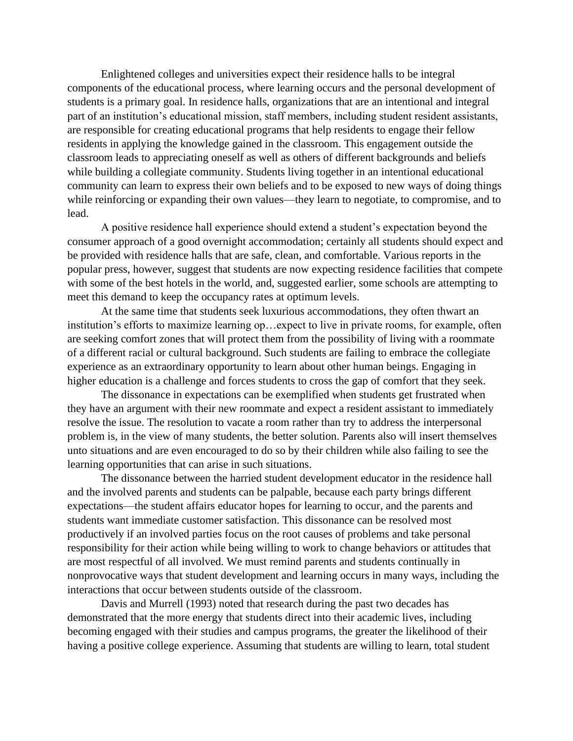Enlightened colleges and universities expect their residence halls to be integral components of the educational process, where learning occurs and the personal development of students is a primary goal. In residence halls, organizations that are an intentional and integral part of an institution's educational mission, staff members, including student resident assistants, are responsible for creating educational programs that help residents to engage their fellow residents in applying the knowledge gained in the classroom. This engagement outside the classroom leads to appreciating oneself as well as others of different backgrounds and beliefs while building a collegiate community. Students living together in an intentional educational community can learn to express their own beliefs and to be exposed to new ways of doing things while reinforcing or expanding their own values—they learn to negotiate, to compromise, and to lead.

A positive residence hall experience should extend a student's expectation beyond the consumer approach of a good overnight accommodation; certainly all students should expect and be provided with residence halls that are safe, clean, and comfortable. Various reports in the popular press, however, suggest that students are now expecting residence facilities that compete with some of the best hotels in the world, and, suggested earlier, some schools are attempting to meet this demand to keep the occupancy rates at optimum levels.

At the same time that students seek luxurious accommodations, they often thwart an institution's efforts to maximize learning op…expect to live in private rooms, for example, often are seeking comfort zones that will protect them from the possibility of living with a roommate of a different racial or cultural background. Such students are failing to embrace the collegiate experience as an extraordinary opportunity to learn about other human beings. Engaging in higher education is a challenge and forces students to cross the gap of comfort that they seek.

The dissonance in expectations can be exemplified when students get frustrated when they have an argument with their new roommate and expect a resident assistant to immediately resolve the issue. The resolution to vacate a room rather than try to address the interpersonal problem is, in the view of many students, the better solution. Parents also will insert themselves unto situations and are even encouraged to do so by their children while also failing to see the learning opportunities that can arise in such situations.

The dissonance between the harried student development educator in the residence hall and the involved parents and students can be palpable, because each party brings different expectations—the student affairs educator hopes for learning to occur, and the parents and students want immediate customer satisfaction. This dissonance can be resolved most productively if an involved parties focus on the root causes of problems and take personal responsibility for their action while being willing to work to change behaviors or attitudes that are most respectful of all involved. We must remind parents and students continually in nonprovocative ways that student development and learning occurs in many ways, including the interactions that occur between students outside of the classroom.

Davis and Murrell (1993) noted that research during the past two decades has demonstrated that the more energy that students direct into their academic lives, including becoming engaged with their studies and campus programs, the greater the likelihood of their having a positive college experience. Assuming that students are willing to learn, total student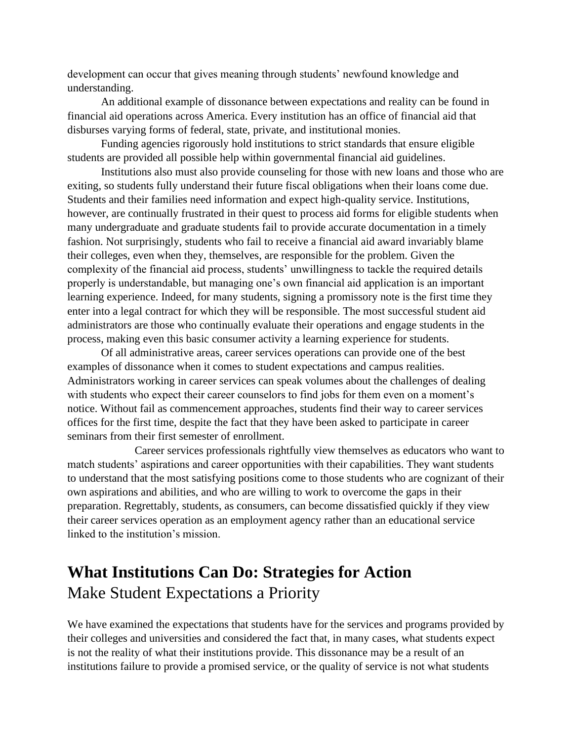development can occur that gives meaning through students' newfound knowledge and understanding.

An additional example of dissonance between expectations and reality can be found in financial aid operations across America. Every institution has an office of financial aid that disburses varying forms of federal, state, private, and institutional monies.

Funding agencies rigorously hold institutions to strict standards that ensure eligible students are provided all possible help within governmental financial aid guidelines.

Institutions also must also provide counseling for those with new loans and those who are exiting, so students fully understand their future fiscal obligations when their loans come due. Students and their families need information and expect high-quality service. Institutions, however, are continually frustrated in their quest to process aid forms for eligible students when many undergraduate and graduate students fail to provide accurate documentation in a timely fashion. Not surprisingly, students who fail to receive a financial aid award invariably blame their colleges, even when they, themselves, are responsible for the problem. Given the complexity of the financial aid process, students' unwillingness to tackle the required details properly is understandable, but managing one's own financial aid application is an important learning experience. Indeed, for many students, signing a promissory note is the first time they enter into a legal contract for which they will be responsible. The most successful student aid administrators are those who continually evaluate their operations and engage students in the process, making even this basic consumer activity a learning experience for students.

Of all administrative areas, career services operations can provide one of the best examples of dissonance when it comes to student expectations and campus realities. Administrators working in career services can speak volumes about the challenges of dealing with students who expect their career counselors to find jobs for them even on a moment's notice. Without fail as commencement approaches, students find their way to career services offices for the first time, despite the fact that they have been asked to participate in career seminars from their first semester of enrollment.

Career services professionals rightfully view themselves as educators who want to match students' aspirations and career opportunities with their capabilities. They want students to understand that the most satisfying positions come to those students who are cognizant of their own aspirations and abilities, and who are willing to work to overcome the gaps in their preparation. Regrettably, students, as consumers, can become dissatisfied quickly if they view their career services operation as an employment agency rather than an educational service linked to the institution's mission.

# **What Institutions Can Do: Strategies for Action** Make Student Expectations a Priority

We have examined the expectations that students have for the services and programs provided by their colleges and universities and considered the fact that, in many cases, what students expect is not the reality of what their institutions provide. This dissonance may be a result of an institutions failure to provide a promised service, or the quality of service is not what students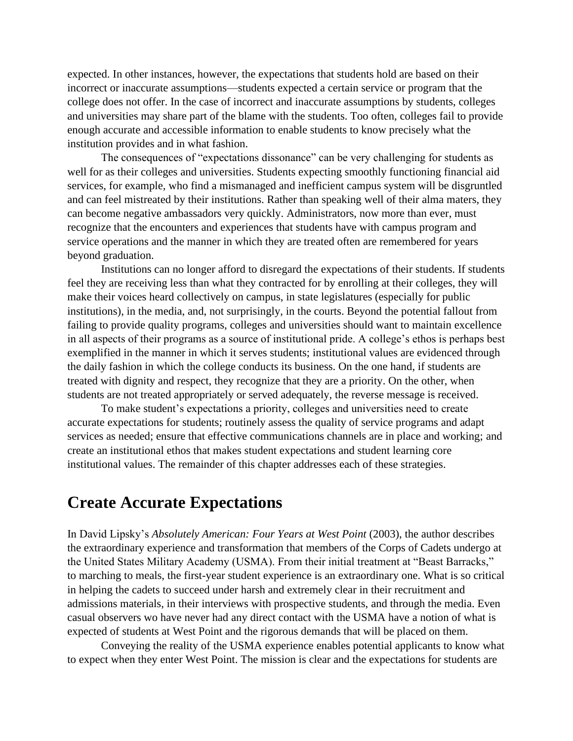expected. In other instances, however, the expectations that students hold are based on their incorrect or inaccurate assumptions—students expected a certain service or program that the college does not offer. In the case of incorrect and inaccurate assumptions by students, colleges and universities may share part of the blame with the students. Too often, colleges fail to provide enough accurate and accessible information to enable students to know precisely what the institution provides and in what fashion.

The consequences of "expectations dissonance" can be very challenging for students as well for as their colleges and universities. Students expecting smoothly functioning financial aid services, for example, who find a mismanaged and inefficient campus system will be disgruntled and can feel mistreated by their institutions. Rather than speaking well of their alma maters, they can become negative ambassadors very quickly. Administrators, now more than ever, must recognize that the encounters and experiences that students have with campus program and service operations and the manner in which they are treated often are remembered for years beyond graduation.

Institutions can no longer afford to disregard the expectations of their students. If students feel they are receiving less than what they contracted for by enrolling at their colleges, they will make their voices heard collectively on campus, in state legislatures (especially for public institutions), in the media, and, not surprisingly, in the courts. Beyond the potential fallout from failing to provide quality programs, colleges and universities should want to maintain excellence in all aspects of their programs as a source of institutional pride. A college's ethos is perhaps best exemplified in the manner in which it serves students; institutional values are evidenced through the daily fashion in which the college conducts its business. On the one hand, if students are treated with dignity and respect, they recognize that they are a priority. On the other, when students are not treated appropriately or served adequately, the reverse message is received.

To make student's expectations a priority, colleges and universities need to create accurate expectations for students; routinely assess the quality of service programs and adapt services as needed; ensure that effective communications channels are in place and working; and create an institutional ethos that makes student expectations and student learning core institutional values. The remainder of this chapter addresses each of these strategies.

#### **Create Accurate Expectations**

In David Lipsky's *Absolutely American: Four Years at West Point* (2003), the author describes the extraordinary experience and transformation that members of the Corps of Cadets undergo at the United States Military Academy (USMA). From their initial treatment at "Beast Barracks," to marching to meals, the first-year student experience is an extraordinary one. What is so critical in helping the cadets to succeed under harsh and extremely clear in their recruitment and admissions materials, in their interviews with prospective students, and through the media. Even casual observers wo have never had any direct contact with the USMA have a notion of what is expected of students at West Point and the rigorous demands that will be placed on them.

Conveying the reality of the USMA experience enables potential applicants to know what to expect when they enter West Point. The mission is clear and the expectations for students are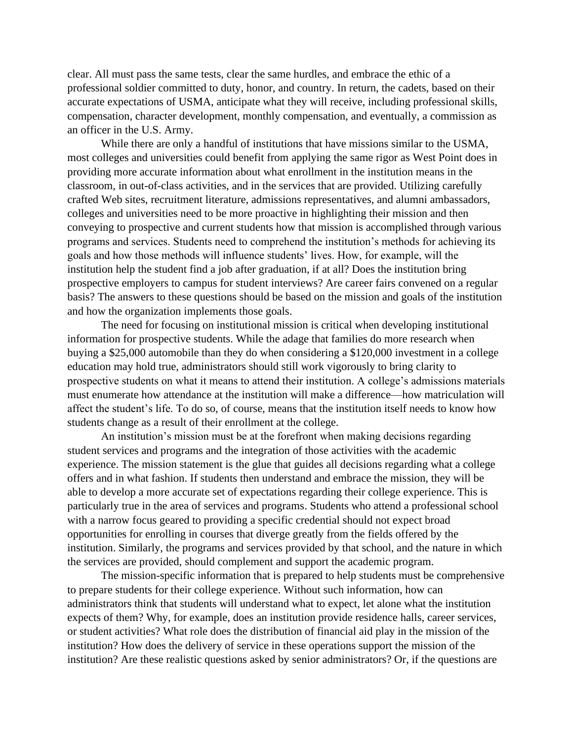clear. All must pass the same tests, clear the same hurdles, and embrace the ethic of a professional soldier committed to duty, honor, and country. In return, the cadets, based on their accurate expectations of USMA, anticipate what they will receive, including professional skills, compensation, character development, monthly compensation, and eventually, a commission as an officer in the U.S. Army.

While there are only a handful of institutions that have missions similar to the USMA, most colleges and universities could benefit from applying the same rigor as West Point does in providing more accurate information about what enrollment in the institution means in the classroom, in out-of-class activities, and in the services that are provided. Utilizing carefully crafted Web sites, recruitment literature, admissions representatives, and alumni ambassadors, colleges and universities need to be more proactive in highlighting their mission and then conveying to prospective and current students how that mission is accomplished through various programs and services. Students need to comprehend the institution's methods for achieving its goals and how those methods will influence students' lives. How, for example, will the institution help the student find a job after graduation, if at all? Does the institution bring prospective employers to campus for student interviews? Are career fairs convened on a regular basis? The answers to these questions should be based on the mission and goals of the institution and how the organization implements those goals.

The need for focusing on institutional mission is critical when developing institutional information for prospective students. While the adage that families do more research when buying a \$25,000 automobile than they do when considering a \$120,000 investment in a college education may hold true, administrators should still work vigorously to bring clarity to prospective students on what it means to attend their institution. A college's admissions materials must enumerate how attendance at the institution will make a difference—how matriculation will affect the student's life. To do so, of course, means that the institution itself needs to know how students change as a result of their enrollment at the college.

An institution's mission must be at the forefront when making decisions regarding student services and programs and the integration of those activities with the academic experience. The mission statement is the glue that guides all decisions regarding what a college offers and in what fashion. If students then understand and embrace the mission, they will be able to develop a more accurate set of expectations regarding their college experience. This is particularly true in the area of services and programs. Students who attend a professional school with a narrow focus geared to providing a specific credential should not expect broad opportunities for enrolling in courses that diverge greatly from the fields offered by the institution. Similarly, the programs and services provided by that school, and the nature in which the services are provided, should complement and support the academic program.

The mission-specific information that is prepared to help students must be comprehensive to prepare students for their college experience. Without such information, how can administrators think that students will understand what to expect, let alone what the institution expects of them? Why, for example, does an institution provide residence halls, career services, or student activities? What role does the distribution of financial aid play in the mission of the institution? How does the delivery of service in these operations support the mission of the institution? Are these realistic questions asked by senior administrators? Or, if the questions are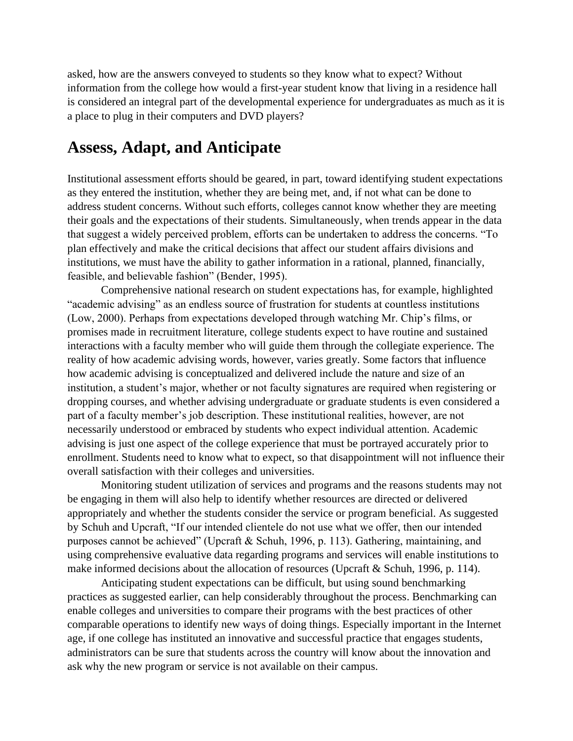asked, how are the answers conveyed to students so they know what to expect? Without information from the college how would a first-year student know that living in a residence hall is considered an integral part of the developmental experience for undergraduates as much as it is a place to plug in their computers and DVD players?

#### **Assess, Adapt, and Anticipate**

Institutional assessment efforts should be geared, in part, toward identifying student expectations as they entered the institution, whether they are being met, and, if not what can be done to address student concerns. Without such efforts, colleges cannot know whether they are meeting their goals and the expectations of their students. Simultaneously, when trends appear in the data that suggest a widely perceived problem, efforts can be undertaken to address the concerns. "To plan effectively and make the critical decisions that affect our student affairs divisions and institutions, we must have the ability to gather information in a rational, planned, financially, feasible, and believable fashion" (Bender, 1995).

Comprehensive national research on student expectations has, for example, highlighted "academic advising" as an endless source of frustration for students at countless institutions (Low, 2000). Perhaps from expectations developed through watching Mr. Chip's films, or promises made in recruitment literature, college students expect to have routine and sustained interactions with a faculty member who will guide them through the collegiate experience. The reality of how academic advising words, however, varies greatly. Some factors that influence how academic advising is conceptualized and delivered include the nature and size of an institution, a student's major, whether or not faculty signatures are required when registering or dropping courses, and whether advising undergraduate or graduate students is even considered a part of a faculty member's job description. These institutional realities, however, are not necessarily understood or embraced by students who expect individual attention. Academic advising is just one aspect of the college experience that must be portrayed accurately prior to enrollment. Students need to know what to expect, so that disappointment will not influence their overall satisfaction with their colleges and universities.

Monitoring student utilization of services and programs and the reasons students may not be engaging in them will also help to identify whether resources are directed or delivered appropriately and whether the students consider the service or program beneficial. As suggested by Schuh and Upcraft, "If our intended clientele do not use what we offer, then our intended purposes cannot be achieved" (Upcraft & Schuh, 1996, p. 113). Gathering, maintaining, and using comprehensive evaluative data regarding programs and services will enable institutions to make informed decisions about the allocation of resources (Upcraft & Schuh, 1996, p. 114).

Anticipating student expectations can be difficult, but using sound benchmarking practices as suggested earlier, can help considerably throughout the process. Benchmarking can enable colleges and universities to compare their programs with the best practices of other comparable operations to identify new ways of doing things. Especially important in the Internet age, if one college has instituted an innovative and successful practice that engages students, administrators can be sure that students across the country will know about the innovation and ask why the new program or service is not available on their campus.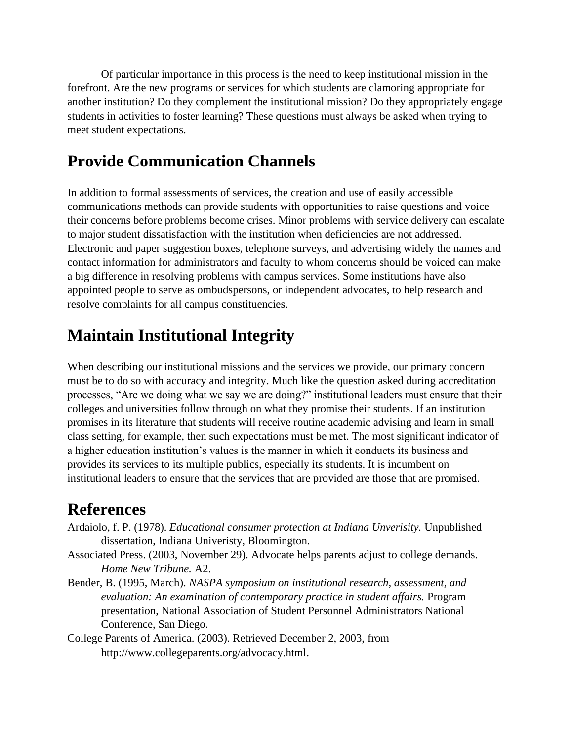Of particular importance in this process is the need to keep institutional mission in the forefront. Are the new programs or services for which students are clamoring appropriate for another institution? Do they complement the institutional mission? Do they appropriately engage students in activities to foster learning? These questions must always be asked when trying to meet student expectations.

## **Provide Communication Channels**

In addition to formal assessments of services, the creation and use of easily accessible communications methods can provide students with opportunities to raise questions and voice their concerns before problems become crises. Minor problems with service delivery can escalate to major student dissatisfaction with the institution when deficiencies are not addressed. Electronic and paper suggestion boxes, telephone surveys, and advertising widely the names and contact information for administrators and faculty to whom concerns should be voiced can make a big difference in resolving problems with campus services. Some institutions have also appointed people to serve as ombudspersons, or independent advocates, to help research and resolve complaints for all campus constituencies.

# **Maintain Institutional Integrity**

When describing our institutional missions and the services we provide, our primary concern must be to do so with accuracy and integrity. Much like the question asked during accreditation processes, "Are we doing what we say we are doing?" institutional leaders must ensure that their colleges and universities follow through on what they promise their students. If an institution promises in its literature that students will receive routine academic advising and learn in small class setting, for example, then such expectations must be met. The most significant indicator of a higher education institution's values is the manner in which it conducts its business and provides its services to its multiple publics, especially its students. It is incumbent on institutional leaders to ensure that the services that are provided are those that are promised.

# **References**

- Ardaiolo, f. P. (1978). *Educational consumer protection at Indiana Unverisity.* Unpublished dissertation, Indiana Univeristy, Bloomington.
- Associated Press. (2003, November 29). Advocate helps parents adjust to college demands. *Home New Tribune.* A2.
- Bender, B. (1995, March). *NASPA symposium on institutional research, assessment, and evaluation: An examination of contemporary practice in student affairs.* Program presentation, National Association of Student Personnel Administrators National Conference, San Diego.
- College Parents of America. (2003). Retrieved December 2, 2003, from http://www.collegeparents.org/advocacy.html.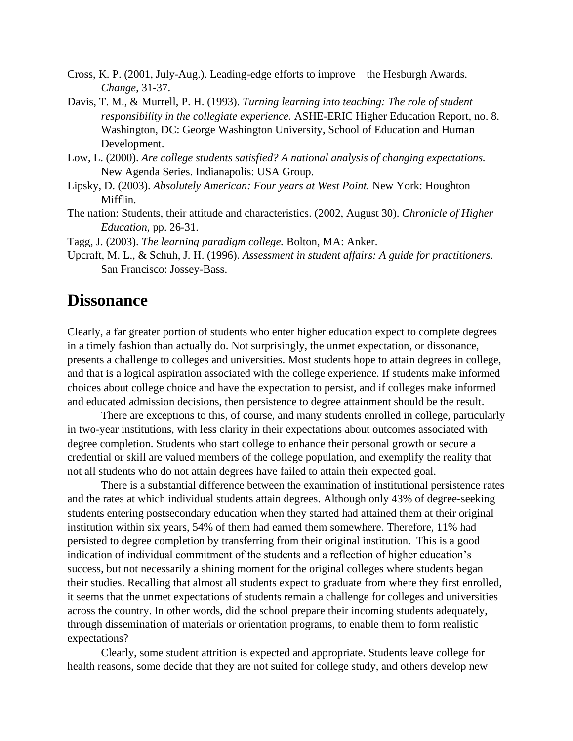- Cross, K. P. (2001, July-Aug.). Leading-edge efforts to improve—the Hesburgh Awards. *Change*, 31-37.
- Davis, T. M., & Murrell, P. H. (1993). *Turning learning into teaching: The role of student responsibility in the collegiate experience.* ASHE-ERIC Higher Education Report, no. 8. Washington, DC: George Washington University, School of Education and Human Development.
- Low, L. (2000). *Are college students satisfied? A national analysis of changing expectations.*  New Agenda Series. Indianapolis: USA Group.
- Lipsky, D. (2003). *Absolutely American: Four years at West Point.* New York: Houghton Mifflin.
- The nation: Students, their attitude and characteristics. (2002, August 30). *Chronicle of Higher Education*, pp. 26-31.
- Tagg, J. (2003). *The learning paradigm college.* Bolton, MA: Anker.
- Upcraft, M. L., & Schuh, J. H. (1996). *Assessment in student affairs: A guide for practitioners.*  San Francisco: Jossey-Bass.

#### **Dissonance**

Clearly, a far greater portion of students who enter higher education expect to complete degrees in a timely fashion than actually do. Not surprisingly, the unmet expectation, or dissonance, presents a challenge to colleges and universities. Most students hope to attain degrees in college, and that is a logical aspiration associated with the college experience. If students make informed choices about college choice and have the expectation to persist, and if colleges make informed and educated admission decisions, then persistence to degree attainment should be the result.

There are exceptions to this, of course, and many students enrolled in college, particularly in two-year institutions, with less clarity in their expectations about outcomes associated with degree completion. Students who start college to enhance their personal growth or secure a credential or skill are valued members of the college population, and exemplify the reality that not all students who do not attain degrees have failed to attain their expected goal.

There is a substantial difference between the examination of institutional persistence rates and the rates at which individual students attain degrees. Although only 43% of degree-seeking students entering postsecondary education when they started had attained them at their original institution within six years, 54% of them had earned them somewhere. Therefore, 11% had persisted to degree completion by transferring from their original institution. This is a good indication of individual commitment of the students and a reflection of higher education's success, but not necessarily a shining moment for the original colleges where students began their studies. Recalling that almost all students expect to graduate from where they first enrolled, it seems that the unmet expectations of students remain a challenge for colleges and universities across the country. In other words, did the school prepare their incoming students adequately, through dissemination of materials or orientation programs, to enable them to form realistic expectations?

Clearly, some student attrition is expected and appropriate. Students leave college for health reasons, some decide that they are not suited for college study, and others develop new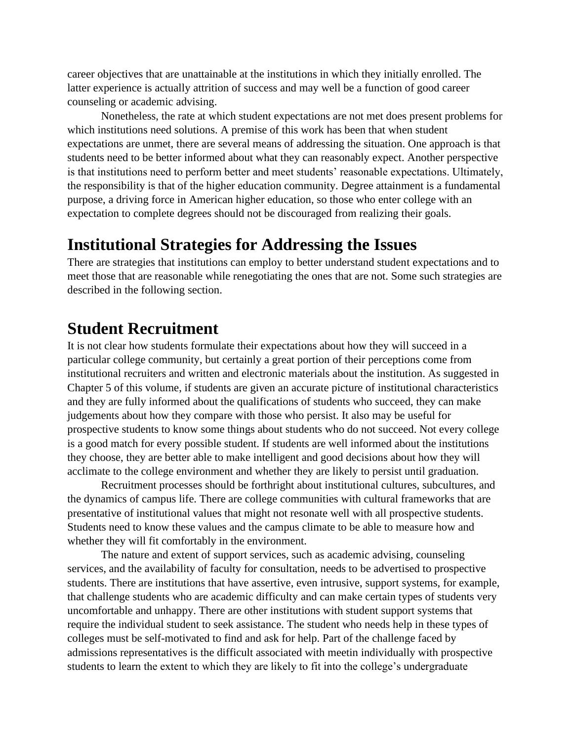career objectives that are unattainable at the institutions in which they initially enrolled. The latter experience is actually attrition of success and may well be a function of good career counseling or academic advising.

Nonetheless, the rate at which student expectations are not met does present problems for which institutions need solutions. A premise of this work has been that when student expectations are unmet, there are several means of addressing the situation. One approach is that students need to be better informed about what they can reasonably expect. Another perspective is that institutions need to perform better and meet students' reasonable expectations. Ultimately, the responsibility is that of the higher education community. Degree attainment is a fundamental purpose, a driving force in American higher education, so those who enter college with an expectation to complete degrees should not be discouraged from realizing their goals.

### **Institutional Strategies for Addressing the Issues**

There are strategies that institutions can employ to better understand student expectations and to meet those that are reasonable while renegotiating the ones that are not. Some such strategies are described in the following section.

## **Student Recruitment**

It is not clear how students formulate their expectations about how they will succeed in a particular college community, but certainly a great portion of their perceptions come from institutional recruiters and written and electronic materials about the institution. As suggested in Chapter 5 of this volume, if students are given an accurate picture of institutional characteristics and they are fully informed about the qualifications of students who succeed, they can make judgements about how they compare with those who persist. It also may be useful for prospective students to know some things about students who do not succeed. Not every college is a good match for every possible student. If students are well informed about the institutions they choose, they are better able to make intelligent and good decisions about how they will acclimate to the college environment and whether they are likely to persist until graduation.

Recruitment processes should be forthright about institutional cultures, subcultures, and the dynamics of campus life. There are college communities with cultural frameworks that are presentative of institutional values that might not resonate well with all prospective students. Students need to know these values and the campus climate to be able to measure how and whether they will fit comfortably in the environment.

The nature and extent of support services, such as academic advising, counseling services, and the availability of faculty for consultation, needs to be advertised to prospective students. There are institutions that have assertive, even intrusive, support systems, for example, that challenge students who are academic difficulty and can make certain types of students very uncomfortable and unhappy. There are other institutions with student support systems that require the individual student to seek assistance. The student who needs help in these types of colleges must be self-motivated to find and ask for help. Part of the challenge faced by admissions representatives is the difficult associated with meetin individually with prospective students to learn the extent to which they are likely to fit into the college's undergraduate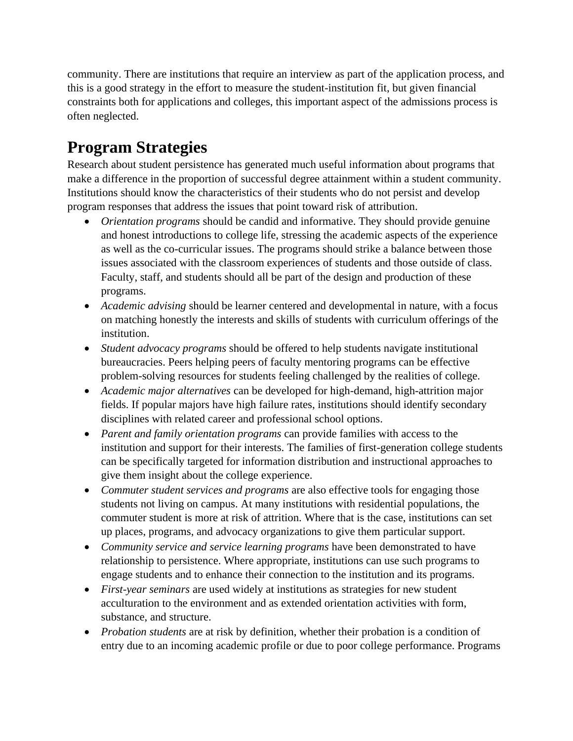community. There are institutions that require an interview as part of the application process, and this is a good strategy in the effort to measure the student-institution fit, but given financial constraints both for applications and colleges, this important aspect of the admissions process is often neglected.

# **Program Strategies**

Research about student persistence has generated much useful information about programs that make a difference in the proportion of successful degree attainment within a student community. Institutions should know the characteristics of their students who do not persist and develop program responses that address the issues that point toward risk of attribution.

- *Orientation programs* should be candid and informative. They should provide genuine and honest introductions to college life, stressing the academic aspects of the experience as well as the co-curricular issues. The programs should strike a balance between those issues associated with the classroom experiences of students and those outside of class. Faculty, staff, and students should all be part of the design and production of these programs.
- *Academic advising* should be learner centered and developmental in nature, with a focus on matching honestly the interests and skills of students with curriculum offerings of the institution.
- *Student advocacy programs* should be offered to help students navigate institutional bureaucracies. Peers helping peers of faculty mentoring programs can be effective problem-solving resources for students feeling challenged by the realities of college.
- *Academic major alternatives* can be developed for high-demand, high-attrition major fields. If popular majors have high failure rates, institutions should identify secondary disciplines with related career and professional school options.
- *Parent and family orientation programs* can provide families with access to the institution and support for their interests. The families of first-generation college students can be specifically targeted for information distribution and instructional approaches to give them insight about the college experience.
- *Commuter student services and programs* are also effective tools for engaging those students not living on campus. At many institutions with residential populations, the commuter student is more at risk of attrition. Where that is the case, institutions can set up places, programs, and advocacy organizations to give them particular support.
- *Community service and service learning programs* have been demonstrated to have relationship to persistence. Where appropriate, institutions can use such programs to engage students and to enhance their connection to the institution and its programs.
- *First-year seminars* are used widely at institutions as strategies for new student acculturation to the environment and as extended orientation activities with form, substance, and structure.
- *Probation students* are at risk by definition, whether their probation is a condition of entry due to an incoming academic profile or due to poor college performance. Programs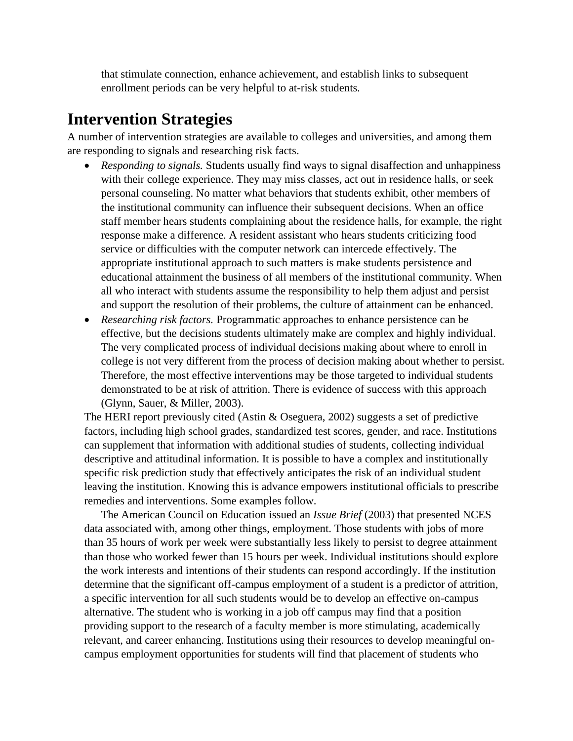that stimulate connection, enhance achievement, and establish links to subsequent enrollment periods can be very helpful to at-risk students*.*

#### **Intervention Strategies**

A number of intervention strategies are available to colleges and universities, and among them are responding to signals and researching risk facts.

- *Responding to signals.* Students usually find ways to signal disaffection and unhappiness with their college experience. They may miss classes, act out in residence halls, or seek personal counseling. No matter what behaviors that students exhibit, other members of the institutional community can influence their subsequent decisions. When an office staff member hears students complaining about the residence halls, for example, the right response make a difference. A resident assistant who hears students criticizing food service or difficulties with the computer network can intercede effectively. The appropriate institutional approach to such matters is make students persistence and educational attainment the business of all members of the institutional community. When all who interact with students assume the responsibility to help them adjust and persist and support the resolution of their problems, the culture of attainment can be enhanced.
- *Researching risk factors.* Programmatic approaches to enhance persistence can be effective, but the decisions students ultimately make are complex and highly individual. The very complicated process of individual decisions making about where to enroll in college is not very different from the process of decision making about whether to persist. Therefore, the most effective interventions may be those targeted to individual students demonstrated to be at risk of attrition. There is evidence of success with this approach (Glynn, Sauer, & Miller, 2003).

The HERI report previously cited (Astin & Oseguera, 2002) suggests a set of predictive factors, including high school grades, standardized test scores, gender, and race. Institutions can supplement that information with additional studies of students, collecting individual descriptive and attitudinal information. It is possible to have a complex and institutionally specific risk prediction study that effectively anticipates the risk of an individual student leaving the institution. Knowing this is advance empowers institutional officials to prescribe remedies and interventions. Some examples follow.

The American Council on Education issued an *Issue Brief* (2003) that presented NCES data associated with, among other things, employment. Those students with jobs of more than 35 hours of work per week were substantially less likely to persist to degree attainment than those who worked fewer than 15 hours per week. Individual institutions should explore the work interests and intentions of their students can respond accordingly. If the institution determine that the significant off-campus employment of a student is a predictor of attrition, a specific intervention for all such students would be to develop an effective on-campus alternative. The student who is working in a job off campus may find that a position providing support to the research of a faculty member is more stimulating, academically relevant, and career enhancing. Institutions using their resources to develop meaningful oncampus employment opportunities for students will find that placement of students who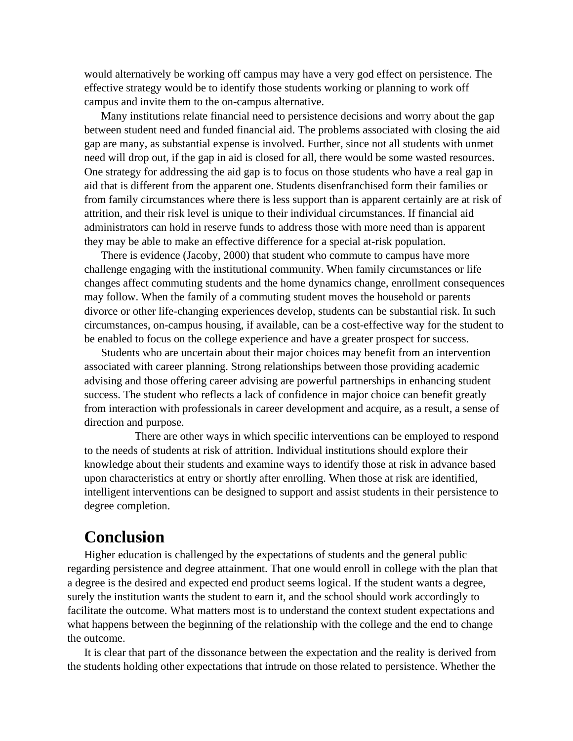would alternatively be working off campus may have a very god effect on persistence. The effective strategy would be to identify those students working or planning to work off campus and invite them to the on-campus alternative.

Many institutions relate financial need to persistence decisions and worry about the gap between student need and funded financial aid. The problems associated with closing the aid gap are many, as substantial expense is involved. Further, since not all students with unmet need will drop out, if the gap in aid is closed for all, there would be some wasted resources. One strategy for addressing the aid gap is to focus on those students who have a real gap in aid that is different from the apparent one. Students disenfranchised form their families or from family circumstances where there is less support than is apparent certainly are at risk of attrition, and their risk level is unique to their individual circumstances. If financial aid administrators can hold in reserve funds to address those with more need than is apparent they may be able to make an effective difference for a special at-risk population.

There is evidence (Jacoby, 2000) that student who commute to campus have more challenge engaging with the institutional community. When family circumstances or life changes affect commuting students and the home dynamics change, enrollment consequences may follow. When the family of a commuting student moves the household or parents divorce or other life-changing experiences develop, students can be substantial risk. In such circumstances, on-campus housing, if available, can be a cost-effective way for the student to be enabled to focus on the college experience and have a greater prospect for success.

Students who are uncertain about their major choices may benefit from an intervention associated with career planning. Strong relationships between those providing academic advising and those offering career advising are powerful partnerships in enhancing student success. The student who reflects a lack of confidence in major choice can benefit greatly from interaction with professionals in career development and acquire, as a result, a sense of direction and purpose.

There are other ways in which specific interventions can be employed to respond to the needs of students at risk of attrition. Individual institutions should explore their knowledge about their students and examine ways to identify those at risk in advance based upon characteristics at entry or shortly after enrolling. When those at risk are identified, intelligent interventions can be designed to support and assist students in their persistence to degree completion.

#### **Conclusion**

Higher education is challenged by the expectations of students and the general public regarding persistence and degree attainment. That one would enroll in college with the plan that a degree is the desired and expected end product seems logical. If the student wants a degree, surely the institution wants the student to earn it, and the school should work accordingly to facilitate the outcome. What matters most is to understand the context student expectations and what happens between the beginning of the relationship with the college and the end to change the outcome.

It is clear that part of the dissonance between the expectation and the reality is derived from the students holding other expectations that intrude on those related to persistence. Whether the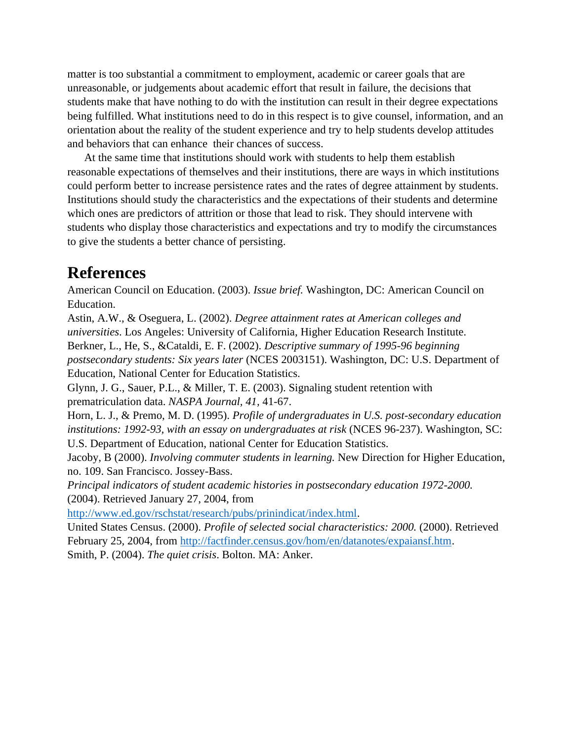matter is too substantial a commitment to employment, academic or career goals that are unreasonable, or judgements about academic effort that result in failure, the decisions that students make that have nothing to do with the institution can result in their degree expectations being fulfilled. What institutions need to do in this respect is to give counsel, information, and an orientation about the reality of the student experience and try to help students develop attitudes and behaviors that can enhance their chances of success.

At the same time that institutions should work with students to help them establish reasonable expectations of themselves and their institutions, there are ways in which institutions could perform better to increase persistence rates and the rates of degree attainment by students. Institutions should study the characteristics and the expectations of their students and determine which ones are predictors of attrition or those that lead to risk. They should intervene with students who display those characteristics and expectations and try to modify the circumstances to give the students a better chance of persisting.

# **References**

American Council on Education. (2003). *Issue brief.* Washington, DC: American Council on Education.

Astin, A.W., & Oseguera, L. (2002). *Degree attainment rates at American colleges and universities*. Los Angeles: University of California, Higher Education Research Institute. Berkner, L., He, S., &Cataldi, E. F. (2002). *Descriptive summary of 1995-96 beginning postsecondary students: Six years later* (NCES 2003151). Washington, DC: U.S. Department of Education, National Center for Education Statistics.

Glynn, J. G., Sauer, P.L., & Miller, T. E. (2003). Signaling student retention with prematriculation data. *NASPA Journal, 41,* 41-67.

Horn, L. J., & Premo, M. D. (1995). *Profile of undergraduates in U.S. post-secondary education institutions: 1992-93, with an essay on undergraduates at risk* (NCES 96-237). Washington, SC: U.S. Department of Education, national Center for Education Statistics.

Jacoby, B (2000). *Involving commuter students in learning.* New Direction for Higher Education, no. 109. San Francisco. Jossey-Bass.

*Principal indicators of student academic histories in postsecondary education 1972-2000.*  (2004). Retrieved January 27, 2004, from

[http://www.ed.gov/rschstat/research/pubs/prinindicat/index.html.](http://www.ed.gov/rschstat/research/pubs/prinindicat/index.html)

United States Census. (2000). *Profile of selected social characteristics: 2000.* (2000). Retrieved February 25, 2004, from [http://factfinder.census.gov/hom/en/datanotes/expaiansf.htm.](http://factfinder.census.gov/hom/en/datanotes/expaiansf.htm) Smith, P. (2004). *The quiet crisis*. Bolton. MA: Anker.